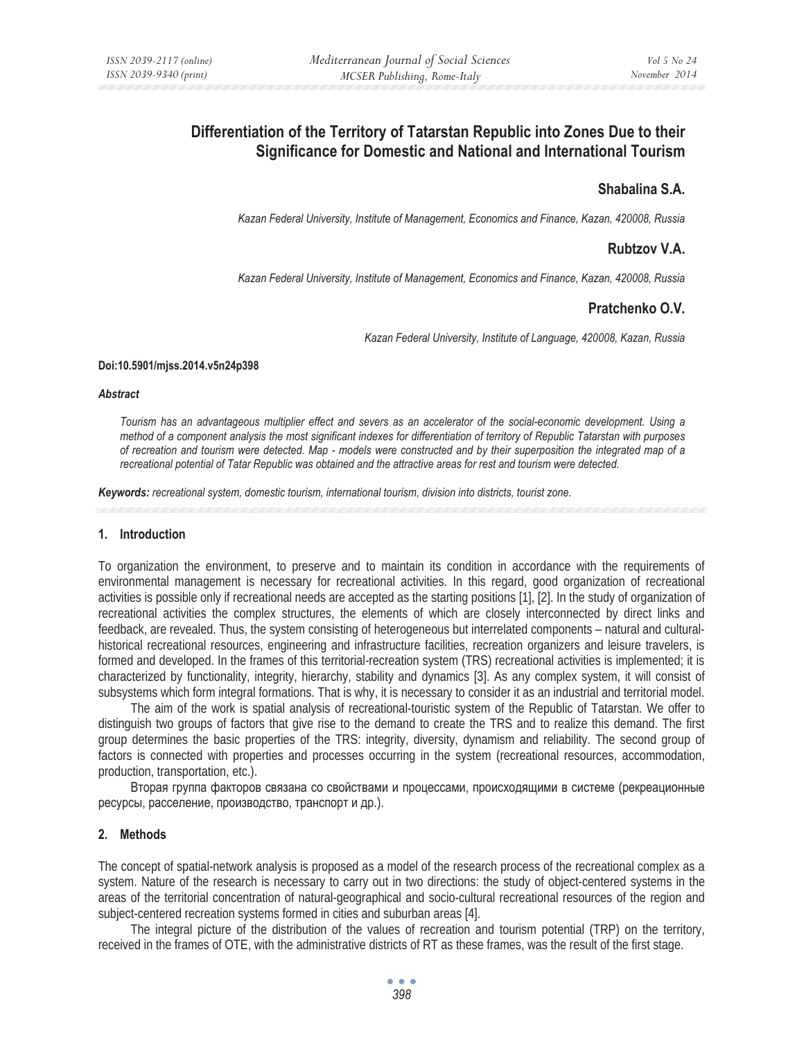# **Differentiation of the Territory of Tatarstan Republic into Zones Due to their Significance for Domestic and National and International Tourism**

## **Shabalina S.A.**

*Kazan Federal University, Institute of Management, Economics and Finance, Kazan, 420008, Russia* 

## **Rubtzov V.A.**

*Kazan Federal University, Institute of Management, Economics and Finance, Kazan, 420008, Russia* 

## **Pratchenko O.V.**

*Kazan Federal University, Institute of Language, 420008, Kazan, Russia* 

#### **Doi:10.5901/mjss.2014.v5n24p398**

#### *Abstract*

*Tourism has an advantageous multiplier effect and severs as an accelerator of the social-economic development. Using a method of a component analysis the most significant indexes for differentiation of territory of Republic Tatarstan with purposes of recreation and tourism were detected. Map - models were constructed and by their superposition the integrated map of a recreational potential of Tatar Republic was obtained and the attractive areas for rest and tourism were detected.* 

*Keywords: recreational system, domestic tourism, international tourism, division into districts, tourist zone.* 

### **1. Introduction**

To organization the environment, to preserve and to maintain its condition in accordance with the requirements of environmental management is necessary for recreational activities. In this regard, good organization of recreational activities is possible only if recreational needs are accepted as the starting positions [1], [2]. In the study of organization of recreational activities the complex structures, the elements of which are closely interconnected by direct links and feedback, are revealed. Thus, the system consisting of heterogeneous but interrelated components – natural and culturalhistorical recreational resources, engineering and infrastructure facilities, recreation organizers and leisure travelers, is formed and developed. In the frames of this territorial-recreation system (TRS) recreational activities is implemented; it is characterized by functionality, integrity, hierarchy, stability and dynamics [3]. As any complex system, it will consist of subsystems which form integral formations. That is why, it is necessary to consider it as an industrial and territorial model.

The aim of the work is spatial analysis of recreational-touristic system of the Republic of Tatarstan. We offer to distinguish two groups of factors that give rise to the demand to create the TRS and to realize this demand. The first group determines the basic properties of the TRS: integrity, diversity, dynamism and reliability. The second group of factors is connected with properties and processes occurring in the system (recreational resources, accommodation, production, transportation, etc.).

Вторая группа факторов связана со свойствами и процессами, происходящими в системе (рекреационные ресурсы, расселение, производство, транспорт и др.).

### **2. Methods**

The concept of spatial-network analysis is proposed as a model of the research process of the recreational complex as a system. Nature of the research is necessary to carry out in two directions: the study of object-centered systems in the areas of the territorial concentration of natural-geographical and socio-cultural recreational resources of the region and subject-centered recreation systems formed in cities and suburban areas [4].

The integral picture of the distribution of the values of recreation and tourism potential (TRP) on the territory, received in the frames of OTE, with the administrative districts of RT as these frames, was the result of the first stage.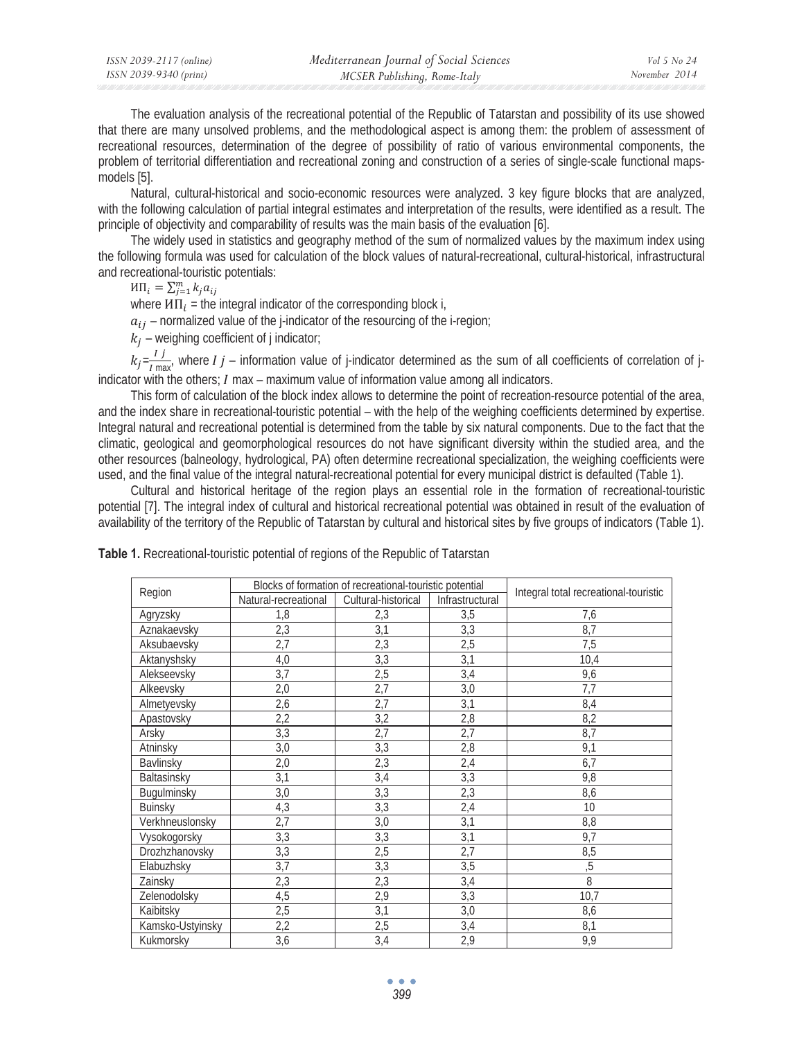The evaluation analysis of the recreational potential of the Republic of Tatarstan and possibility of its use showed that there are many unsolved problems, and the methodological aspect is among them: the problem of assessment of recreational resources, determination of the degree of possibility of ratio of various environmental components, the problem of territorial differentiation and recreational zoning and construction of a series of single-scale functional mapsmodels [5].

Natural, cultural-historical and socio-economic resources were analyzed. 3 key figure blocks that are analyzed, with the following calculation of partial integral estimates and interpretation of the results, were identified as a result. The principle of objectivity and comparability of results was the main basis of the evaluation [6].

The widely used in statistics and geography method of the sum of normalized values by the maximum index using the following formula was used for calculation of the block values of natural-recreational, cultural-historical, infrastructural and recreational-touristic potentials:

 $M\Pi_i = \sum_{j=1}^m k_j a_{ij}$ 

where  $M\Pi_i$  = the integral indicator of the corresponding block i,

 $a_{ij}$  – normalized value of the j-indicator of the resourcing of the i-region;

 $k_i$  – weighing coefficient of j indicator;

 $k_j = \frac{Ij}{I \text{ max}}$ , where  $Ij$  – information value of j-indicator determined as the sum of all coefficients of correlation of jindicator with the others;  $I$  max – maximum value of information value among all indicators.

This form of calculation of the block index allows to determine the point of recreation-resource potential of the area, and the index share in recreational-touristic potential – with the help of the weighing coefficients determined by expertise. Integral natural and recreational potential is determined from the table by six natural components. Due to the fact that the climatic, geological and geomorphological resources do not have significant diversity within the studied area, and the other resources (balneology, hydrological, PA) often determine recreational specialization, the weighing coefficients were used, and the final value of the integral natural-recreational potential for every municipal district is defaulted (Table 1).

Cultural and historical heritage of the region plays an essential role in the formation of recreational-touristic potential [7]. The integral index of cultural and historical recreational potential was obtained in result of the evaluation of availability of the territory of the Republic of Tatarstan by cultural and historical sites by five groups of indicators (Table 1).

|                  | Blocks of formation of recreational-touristic potential |                     |                  |                                       |  |
|------------------|---------------------------------------------------------|---------------------|------------------|---------------------------------------|--|
| Region           | Natural-recreational                                    | Cultural-historical | Infrastructural  | Integral total recreational-touristic |  |
| Agryzsky         | 1,8                                                     | 2,3                 | $\overline{3,5}$ | 7,6                                   |  |
| Aznakaevsky      | 2,3                                                     | 3,1                 | 3,3              | 8,7                                   |  |
| Aksubaevsky      | 2,7                                                     | 2,3                 | 2,5              | 7,5                                   |  |
| Aktanyshsky      | 4,0                                                     | 3,3                 | 3,1              | 10,4                                  |  |
| Alekseevsky      | 3,7                                                     | 2,5                 | 3,4              | 9,6                                   |  |
| Alkeevsky        | $\overline{2,0}$                                        | $\overline{2,7}$    | 3,0              | $\overline{7,7}$                      |  |
| Almetyevsky      | 2,6                                                     | 2,7                 | 3,1              | 8,4                                   |  |
| Apastovsky       | 2,2                                                     | 3,2                 | 2,8              | 8,2                                   |  |
| Arsky            | 3,3                                                     | 2,7                 | 2,7              | 8,7                                   |  |
| Atninsky         | 3,0                                                     | 3,3                 | 2,8              | 9,1                                   |  |
| Bavlinsky        | 2,0                                                     | 2,3                 | 2,4              | 6,7                                   |  |
| Baltasinsky      | 3,1                                                     | 3,4                 | 3,3              | 9,8                                   |  |
| Bugulminsky      | 3,0                                                     | 3,3                 | 2,3              | 8,6                                   |  |
| <b>Buinsky</b>   | 4,3                                                     | 3,3                 | 2,4              | 10                                    |  |
| Verkhneuslonsky  | $\overline{2,7}$                                        | $\overline{3,0}$    | 3,1              | 8,8                                   |  |
| Vysokogorsky     | 3,3                                                     | 3,3                 | 3,1              | 9,7                                   |  |
| Drozhzhanovsky   | 3,3                                                     | 2,5                 | 2,7              | 8,5                                   |  |
| Elabuzhsky       | 3,7                                                     | 3,3                 | $\overline{3,5}$ | $\overline{5}$                        |  |
| Zainsky          | 2,3                                                     | 2,3                 | 3,4              | 8                                     |  |
| Zelenodolsky     | 4,5                                                     | 2,9                 | 3,3              | 10,7                                  |  |
| Kaibitsky        | 2,5                                                     | 3,1                 | 3,0              | 8,6                                   |  |
| Kamsko-Ustyinsky | 2,2                                                     | 2,5                 | 3,4              | 8,1                                   |  |
| Kukmorsky        | 3,6                                                     | 3,4                 | 2,9              | 9,9                                   |  |

**Table 1.** Recreational-touristic potential of regions of the Republic of Tatarstan

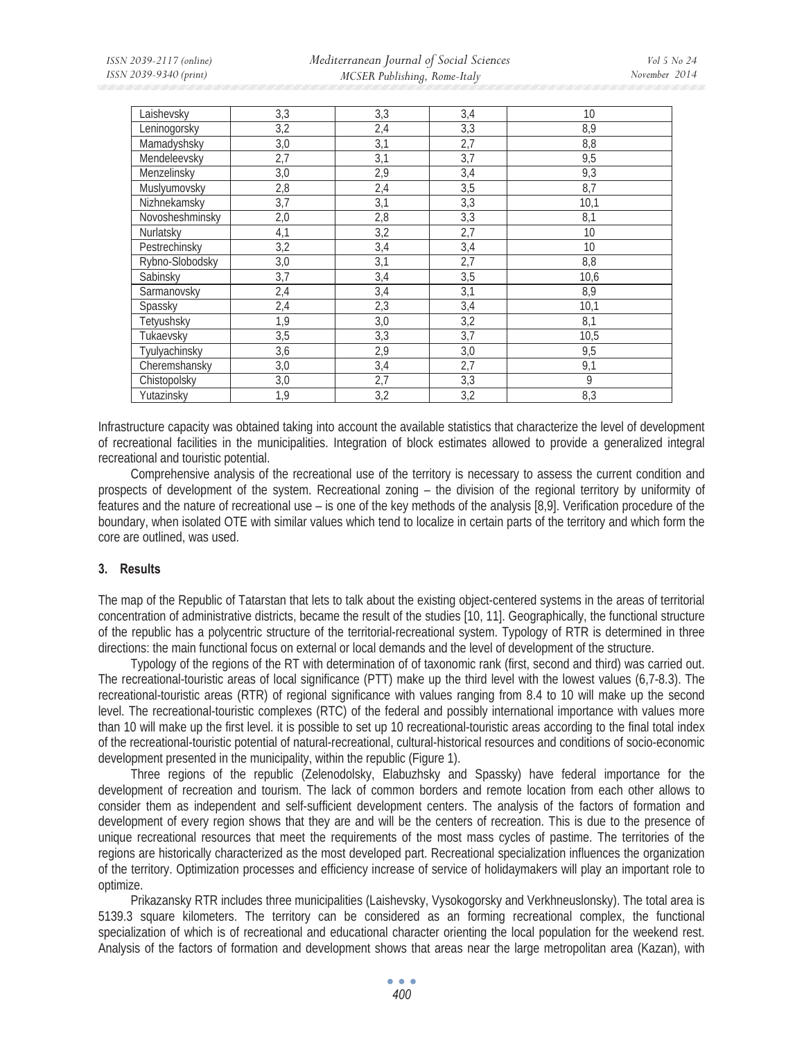| Laishevsky      | 3,3 | 3,3 | 3,4 | 10   |
|-----------------|-----|-----|-----|------|
| Leninogorsky    | 3,2 | 2,4 | 3,3 | 8,9  |
| Mamadyshsky     | 3,0 | 3,1 | 2,7 | 8,8  |
| Mendeleevsky    | 2,7 | 3,1 | 3,7 | 9,5  |
| Menzelinsky     | 3,0 | 2,9 | 3,4 | 9,3  |
| Muslyumovsky    | 2,8 | 2,4 | 3,5 | 8,7  |
| Nizhnekamsky    | 3,7 | 3,1 | 3,3 | 10,1 |
| Novosheshminsky | 2,0 | 2,8 | 3,3 | 8,1  |
| Nurlatsky       | 4,1 | 3,2 | 2,7 | 10   |
| Pestrechinsky   | 3,2 | 3,4 | 3,4 | 10   |
| Rybno-Slobodsky | 3,0 | 3,1 | 2,7 | 8,8  |
| Sabinsky        | 3,7 | 3,4 | 3,5 | 10,6 |
| Sarmanovsky     | 2,4 | 3,4 | 3,1 | 8,9  |
| Spassky         | 2,4 | 2,3 | 3,4 | 10,1 |
| Tetyushsky      | 1,9 | 3,0 | 3,2 | 8,1  |
| Tukaevsky       | 3,5 | 3,3 | 3,7 | 10,5 |
| Tyulyachinsky   | 3,6 | 2,9 | 3,0 | 9,5  |
| Cheremshansky   | 3,0 | 3,4 | 2,7 | 9,1  |
| Chistopolsky    | 3,0 | 2,7 | 3,3 | 9    |
| Yutazinsky      | 1,9 | 3,2 | 3,2 | 8,3  |

Infrastructure capacity was obtained taking into account the available statistics that characterize the level of development of recreational facilities in the municipalities. Integration of block estimates allowed to provide a generalized integral recreational and touristic potential.

Comprehensive analysis of the recreational use of the territory is necessary to assess the current condition and prospects of development of the system. Recreational zoning – the division of the regional territory by uniformity of features and the nature of recreational use – is one of the key methods of the analysis [8,9]. Verification procedure of the boundary, when isolated OTE with similar values which tend to localize in certain parts of the territory and which form the core are outlined, was used.

### **3. Results**

The map of the Republic of Tatarstan that lets to talk about the existing object-centered systems in the areas of territorial concentration of administrative districts, became the result of the studies [10, 11]. Geographically, the functional structure of the republic has a polycentric structure of the territorial-recreational system. Typology of RTR is determined in three directions: the main functional focus on external or local demands and the level of development of the structure.

Typology of the regions of the RT with determination of of taxonomic rank (first, second and third) was carried out. The recreational-touristic areas of local significance (PTT) make up the third level with the lowest values (6,7-8.3). The recreational-touristic areas (RTR) of regional significance with values ranging from 8.4 to 10 will make up the second level. The recreational-touristic complexes (RTC) of the federal and possibly international importance with values more than 10 will make up the first level. it is possible to set up 10 recreational-touristic areas according to the final total index of the recreational-touristic potential of natural-recreational, cultural-historical resources and conditions of socio-economic development presented in the municipality, within the republic (Figure 1).

Three regions of the republic (Zelenodolsky, Elabuzhsky and Spassky) have federal importance for the development of recreation and tourism. The lack of common borders and remote location from each other allows to consider them as independent and self-sufficient development centers. The analysis of the factors of formation and development of every region shows that they are and will be the centers of recreation. This is due to the presence of unique recreational resources that meet the requirements of the most mass cycles of pastime. The territories of the regions are historically characterized as the most developed part. Recreational specialization influences the organization of the territory. Optimization processes and efficiency increase of service of holidaymakers will play an important role to optimize.

Prikazansky RTR includes three municipalities (Laishevsky, Vysokogorsky and Verkhneuslonsky). The total area is 5139.3 square kilometers. The territory can be considered as an forming recreational complex, the functional specialization of which is of recreational and educational character orienting the local population for the weekend rest. Analysis of the factors of formation and development shows that areas near the large metropolitan area (Kazan), with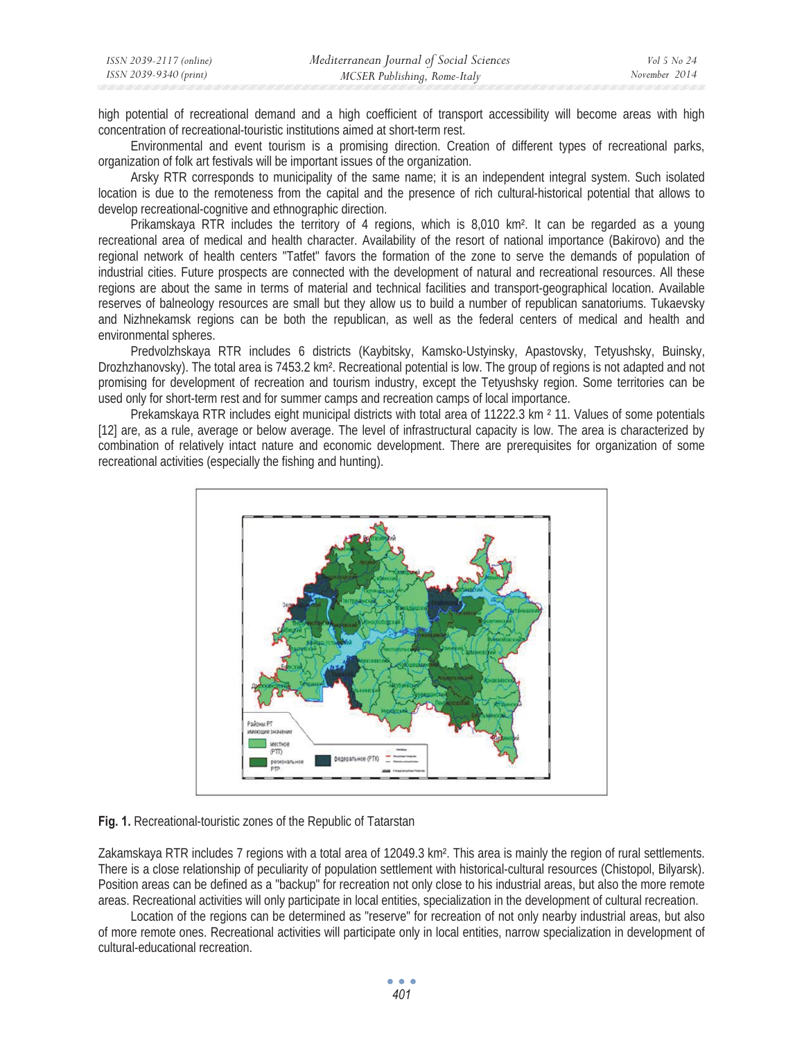| ISSN 2039-2117 (online) | Mediterranean Journal of Social Sciences | Vol 5 No 24   |
|-------------------------|------------------------------------------|---------------|
| ISSN 2039-9340 (print)  | MCSER Publishing, Rome-Italy             | November 2014 |

high potential of recreational demand and a high coefficient of transport accessibility will become areas with high concentration of recreational-touristic institutions aimed at short-term rest.

Environmental and event tourism is a promising direction. Creation of different types of recreational parks, organization of folk art festivals will be important issues of the organization.

Arsky RTR corresponds to municipality of the same name; it is an independent integral system. Such isolated location is due to the remoteness from the capital and the presence of rich cultural-historical potential that allows to develop recreational-cognitive and ethnographic direction.

Prikamskaya RTR includes the territory of 4 regions, which is 8,010 km². It can be regarded as a young recreational area of medical and health character. Availability of the resort of national importance (Bakirovo) and the regional network of health centers "Tatfet" favors the formation of the zone to serve the demands of population of industrial cities. Future prospects are connected with the development of natural and recreational resources. All these regions are about the same in terms of material and technical facilities and transport-geographical location. Available reserves of balneology resources are small but they allow us to build a number of republican sanatoriums. Tukaevsky and Nizhnekamsk regions can be both the republican, as well as the federal centers of medical and health and environmental spheres.

Predvolzhskaya RTR includes 6 districts (Kaybitsky, Kamsko-Ustyinsky, Apastovsky, Tetyushsky, Buinsky, Drozhzhanovsky). The total area is 7453.2 km². Recreational potential is low. The group of regions is not adapted and not promising for development of recreation and tourism industry, except the Tetyushsky region. Some territories can be used only for short-term rest and for summer camps and recreation camps of local importance.

Prekamskaya RTR includes eight municipal districts with total area of 11222.3 km ² 11. Values of some potentials [12] are, as a rule, average or below average. The level of infrastructural capacity is low. The area is characterized by combination of relatively intact nature and economic development. There are prerequisites for organization of some recreational activities (especially the fishing and hunting).



#### **Fig. 1.** Recreational-touristic zones of the Republic of Tatarstan

Zakamskaya RTR includes 7 regions with a total area of 12049.3 km². This area is mainly the region of rural settlements. There is a close relationship of peculiarity of population settlement with historical-cultural resources (Chistopol, Bilyarsk). Position areas can be defined as a "backup" for recreation not only close to his industrial areas, but also the more remote areas. Recreational activities will only participate in local entities, specialization in the development of cultural recreation.

Location of the regions can be determined as "reserve" for recreation of not only nearby industrial areas, but also of more remote ones. Recreational activities will participate only in local entities, narrow specialization in development of cultural-educational recreation.